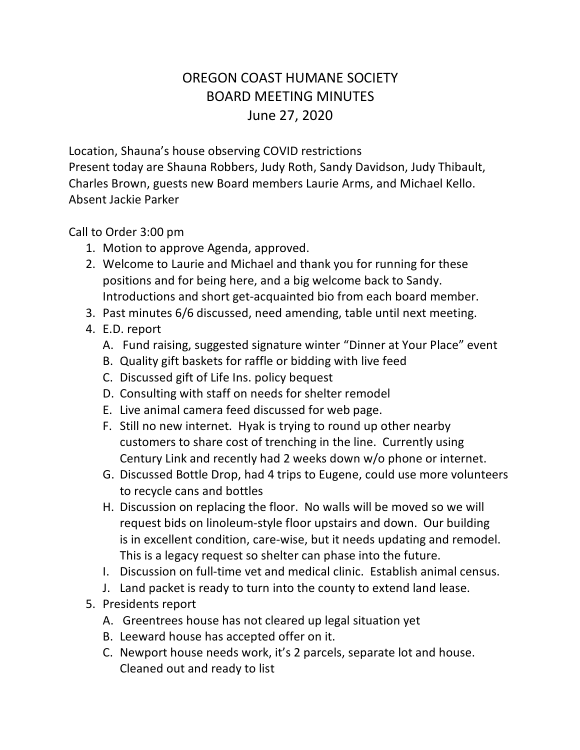## OREGON COAST HUMANE SOCIETY BOARD MEETING MINUTES June 27, 2020

Location, Shauna's house observing COVID restrictions Present today are Shauna Robbers, Judy Roth, Sandy Davidson, Judy Thibault, Charles Brown, guests new Board members Laurie Arms, and Michael Kello. Absent Jackie Parker

Call to Order 3:00 pm

- 1. Motion to approve Agenda, approved.
- 2. Welcome to Laurie and Michael and thank you for running for these positions and for being here, and a big welcome back to Sandy. Introductions and short get-acquainted bio from each board member.
- 3. Past minutes 6/6 discussed, need amending, table until next meeting.
- 4. E.D. report
	- A. Fund raising, suggested signature winter "Dinner at Your Place" event
	- B. Quality gift baskets for raffle or bidding with live feed
	- C. Discussed gift of Life Ins. policy bequest
	- D. Consulting with staff on needs for shelter remodel
	- E. Live animal camera feed discussed for web page.
	- F. Still no new internet. Hyak is trying to round up other nearby customers to share cost of trenching in the line. Currently using Century Link and recently had 2 weeks down w/o phone or internet.
	- G. Discussed Bottle Drop, had 4 trips to Eugene, could use more volunteers to recycle cans and bottles
	- H. Discussion on replacing the floor. No walls will be moved so we will request bids on linoleum-style floor upstairs and down. Our building is in excellent condition, care-wise, but it needs updating and remodel. This is a legacy request so shelter can phase into the future.
	- I. Discussion on full-time vet and medical clinic. Establish animal census.
	- J. Land packet is ready to turn into the county to extend land lease.
- 5. Presidents report
	- A. Greentrees house has not cleared up legal situation yet
	- B. Leeward house has accepted offer on it.
	- C. Newport house needs work, it's 2 parcels, separate lot and house. Cleaned out and ready to list